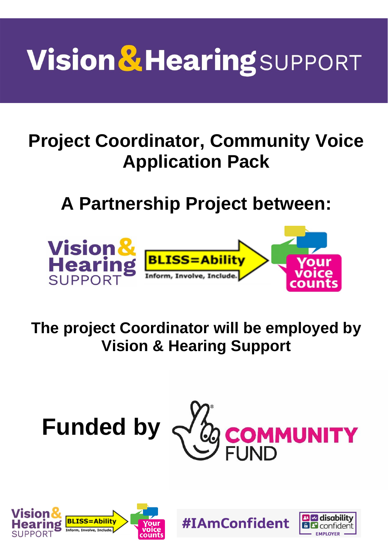# **Vision & Hearing SUPPORT**

# **Project Coordinator, Community Voice Application Pack**

# **A Partnership Project between:**



**The project Coordinator will be employed by Vision & Hearing Support**



**#IAmConfident** 



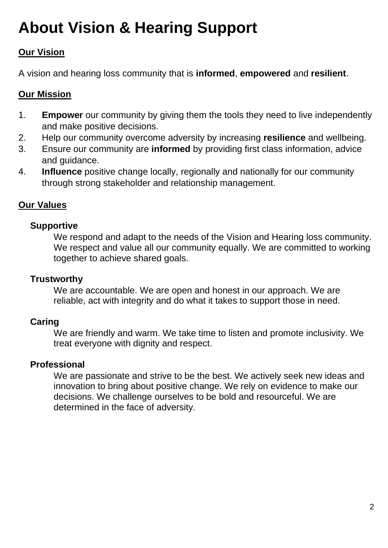### **About Vision & Hearing Support**

#### **Our Vision**

A vision and hearing loss community that is **informed**, **empowered** and **resilient**.

#### **Our Mission**

- 1. **Empower** our community by giving them the tools they need to live independently and make positive decisions.
- 2. Help our community overcome adversity by increasing **resilience** and wellbeing.
- 3. Ensure our community are **informed** by providing first class information, advice and guidance.
- 4. **Influence** positive change locally, regionally and nationally for our community through strong stakeholder and relationship management.

#### **Our Values**

#### **Supportive**

We respond and adapt to the needs of the Vision and Hearing loss community. We respect and value all our community equally. We are committed to working together to achieve shared goals.

#### **Trustworthy**

We are accountable. We are open and honest in our approach. We are reliable, act with integrity and do what it takes to support those in need.

#### **Caring**

We are friendly and warm. We take time to listen and promote inclusivity. We treat everyone with dignity and respect.

#### **Professional**

We are passionate and strive to be the best. We actively seek new ideas and innovation to bring about positive change. We rely on evidence to make our decisions. We challenge ourselves to be bold and resourceful. We are determined in the face of adversity*.*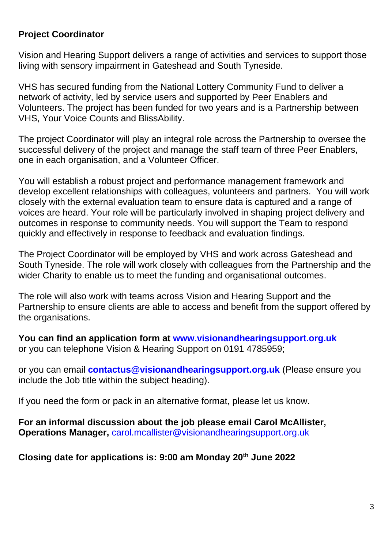#### **Project Coordinator**

Vision and Hearing Support delivers a range of activities and services to support those living with sensory impairment in Gateshead and South Tyneside.

VHS has secured funding from the National Lottery Community Fund to deliver a network of activity, led by service users and supported by Peer Enablers and Volunteers. The project has been funded for two years and is a Partnership between VHS, Your Voice Counts and BlissAbility.

The project Coordinator will play an integral role across the Partnership to oversee the successful delivery of the project and manage the staff team of three Peer Enablers, one in each organisation, and a Volunteer Officer.

You will establish a robust project and performance management framework and develop excellent relationships with colleagues, volunteers and partners. You will work closely with the external evaluation team to ensure data is captured and a range of voices are heard. Your role will be particularly involved in shaping project delivery and outcomes in response to community needs. You will support the Team to respond quickly and effectively in response to feedback and evaluation findings.

The Project Coordinator will be employed by VHS and work across Gateshead and South Tyneside. The role will work closely with colleagues from the Partnership and the wider Charity to enable us to meet the funding and organisational outcomes.

The role will also work with teams across Vision and Hearing Support and the Partnership to ensure clients are able to access and benefit from the support offered by the organisations.

**You can find an application form at [www.visionandhearingsupport.org.uk](http://www.visionandhearingsupport.org.uk/)** or you can telephone Vision & Hearing Support on 0191 4785959;

or you can email **[contactus@visionandhearingsupport.org.uk](mailto:contactus@visionandhearingsupport.org.uk)** (Please ensure you include the Job title within the subject heading).

If you need the form or pack in an alternative format, please let us know.

**For an informal discussion about the job please email Carol McAllister, Operations Manager,** [carol.mcallister@visionandhearingsupport.org.uk](mailto:carol.mcallister@visionandhearingsupport.org.uk) 

**Closing date for applications is: 9:00 am Monday 20th June 2022**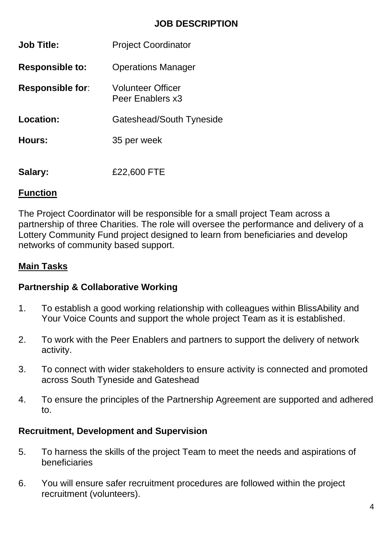#### **JOB DESCRIPTION**

| <b>Job Title:</b>       | <b>Project Coordinator</b>                   |
|-------------------------|----------------------------------------------|
| <b>Responsible to:</b>  | <b>Operations Manager</b>                    |
| <b>Responsible for:</b> | <b>Volunteer Officer</b><br>Peer Enablers x3 |
| Location:               | Gateshead/South Tyneside                     |
| Hours:                  | 35 per week                                  |
| Salary:                 | £22,600 FTE                                  |

#### **Function**

The Project Coordinator will be responsible for a small project Team across a partnership of three Charities. The role will oversee the performance and delivery of a Lottery Community Fund project designed to learn from beneficiaries and develop networks of community based support.

#### **Main Tasks**

#### **Partnership & Collaborative Working**

- 1. To establish a good working relationship with colleagues within BlissAbility and Your Voice Counts and support the whole project Team as it is established.
- 2. To work with the Peer Enablers and partners to support the delivery of network activity.
- 3. To connect with wider stakeholders to ensure activity is connected and promoted across South Tyneside and Gateshead
- 4. To ensure the principles of the Partnership Agreement are supported and adhered to.

#### **Recruitment, Development and Supervision**

- 5. To harness the skills of the project Team to meet the needs and aspirations of beneficiaries
- 6. You will ensure safer recruitment procedures are followed within the project recruitment (volunteers).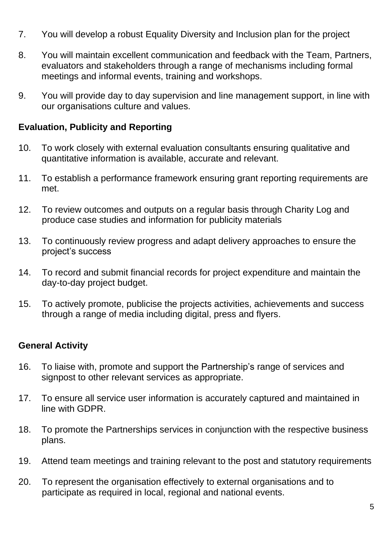- 7. You will develop a robust Equality Diversity and Inclusion plan for the project
- 8. You will maintain excellent communication and feedback with the Team, Partners, evaluators and stakeholders through a range of mechanisms including formal meetings and informal events, training and workshops.
- 9. You will provide day to day supervision and line management support, in line with our organisations culture and values.

#### **Evaluation, Publicity and Reporting**

- 10. To work closely with external evaluation consultants ensuring qualitative and quantitative information is available, accurate and relevant.
- 11. To establish a performance framework ensuring grant reporting requirements are met.
- 12. To review outcomes and outputs on a regular basis through Charity Log and produce case studies and information for publicity materials
- 13. To continuously review progress and adapt delivery approaches to ensure the project's success
- 14. To record and submit financial records for project expenditure and maintain the day-to-day project budget.
- 15. To actively promote, publicise the projects activities, achievements and success through a range of media including digital, press and flyers.

#### **General Activity**

- 16. To liaise with, promote and support the Partnership's range of services and signpost to other relevant services as appropriate.
- 17. To ensure all service user information is accurately captured and maintained in line with GDPR.
- 18. To promote the Partnerships services in conjunction with the respective business plans.
- 19. Attend team meetings and training relevant to the post and statutory requirements
- 20. To represent the organisation effectively to external organisations and to participate as required in local, regional and national events.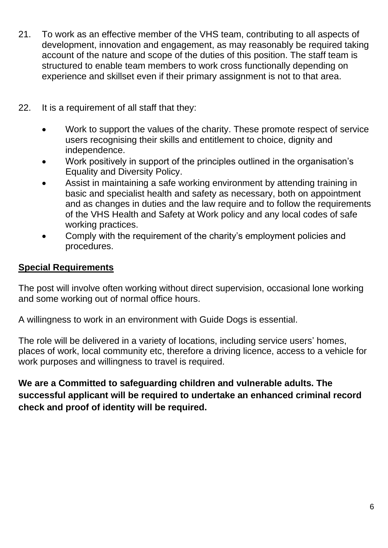- 21. To work as an effective member of the VHS team, contributing to all aspects of development, innovation and engagement, as may reasonably be required taking account of the nature and scope of the duties of this position. The staff team is structured to enable team members to work cross functionally depending on experience and skillset even if their primary assignment is not to that area.
- 22. It is a requirement of all staff that they:
	- Work to support the values of the charity. These promote respect of service users recognising their skills and entitlement to choice, dignity and independence.
	- Work positively in support of the principles outlined in the organisation's Equality and Diversity Policy.
	- Assist in maintaining a safe working environment by attending training in basic and specialist health and safety as necessary, both on appointment and as changes in duties and the law require and to follow the requirements of the VHS Health and Safety at Work policy and any local codes of safe working practices.
	- Comply with the requirement of the charity's employment policies and procedures.

#### **Special Requirements**

The post will involve often working without direct supervision, occasional lone working and some working out of normal office hours.

A willingness to work in an environment with Guide Dogs is essential.

The role will be delivered in a variety of locations, including service users' homes, places of work, local community etc, therefore a driving licence, access to a vehicle for work purposes and willingness to travel is required.

**We are a Committed to safeguarding children and vulnerable adults. The successful applicant will be required to undertake an enhanced criminal record check and proof of identity will be required.**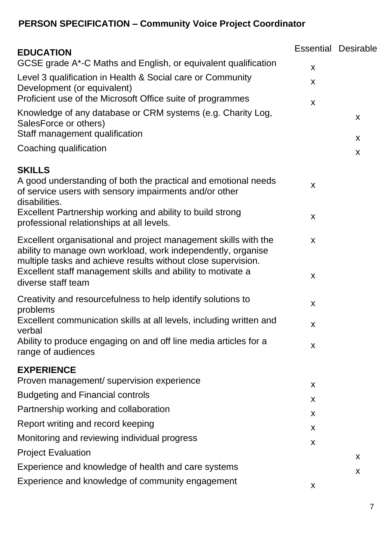### **PERSON SPECIFICATION – Community Voice Project Coordinator**

| <b>EDUCATION</b>                                                                                                                                                                                 |              | <b>Essential Desirable</b> |
|--------------------------------------------------------------------------------------------------------------------------------------------------------------------------------------------------|--------------|----------------------------|
| GCSE grade A*-C Maths and English, or equivalent qualification                                                                                                                                   | X            |                            |
| Level 3 qualification in Health & Social care or Community<br>Development (or equivalent)                                                                                                        | X            |                            |
| Proficient use of the Microsoft Office suite of programmes                                                                                                                                       | X            |                            |
| Knowledge of any database or CRM systems (e.g. Charity Log,<br>SalesForce or others)<br>Staff management qualification                                                                           |              | X                          |
| Coaching qualification                                                                                                                                                                           |              | X<br>X                     |
| <b>SKILLS</b>                                                                                                                                                                                    |              |                            |
| A good understanding of both the practical and emotional needs<br>of service users with sensory impairments and/or other<br>disabilities.                                                        | $\mathsf{x}$ |                            |
| Excellent Partnership working and ability to build strong<br>professional relationships at all levels.                                                                                           | X            |                            |
| Excellent organisational and project management skills with the<br>ability to manage own workload, work independently, organise<br>multiple tasks and achieve results without close supervision. | X            |                            |
| Excellent staff management skills and ability to motivate a<br>diverse staff team                                                                                                                | X            |                            |
| Creativity and resourcefulness to help identify solutions to<br>problems                                                                                                                         | X            |                            |
| Excellent communication skills at all levels, including written and<br>verbal                                                                                                                    | X            |                            |
| Ability to produce engaging on and off line media articles for a<br>range of audiences                                                                                                           | X            |                            |
| <b>EXPERIENCE</b>                                                                                                                                                                                |              |                            |
| Proven management/ supervision experience                                                                                                                                                        | X            |                            |
| <b>Budgeting and Financial controls</b>                                                                                                                                                          | X            |                            |
| Partnership working and collaboration                                                                                                                                                            | X            |                            |
| Report writing and record keeping                                                                                                                                                                | X            |                            |
| Monitoring and reviewing individual progress                                                                                                                                                     | X            |                            |
| <b>Project Evaluation</b>                                                                                                                                                                        |              | X                          |
| Experience and knowledge of health and care systems                                                                                                                                              |              | X                          |
| Experience and knowledge of community engagement                                                                                                                                                 | X            |                            |